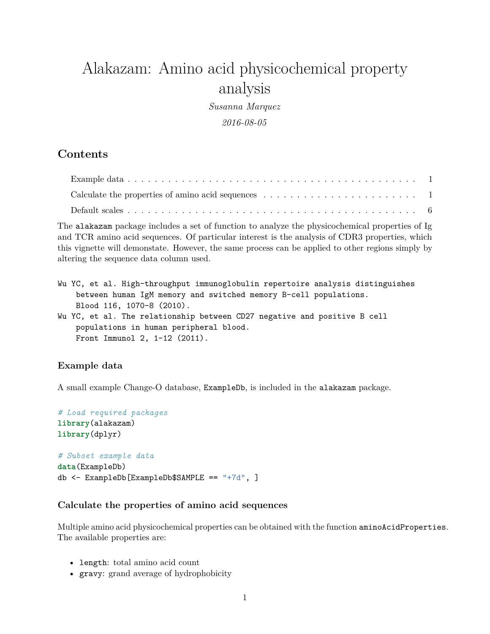# Alakazam: Amino acid physicochemical property analysis

*Susanna Marquez 2016-08-05*

# **Contents**

| Calculate the properties of amino acid sequences $\ldots \ldots \ldots \ldots \ldots \ldots \ldots \ldots$ |  |
|------------------------------------------------------------------------------------------------------------|--|
|                                                                                                            |  |

The alakazam package includes a set of function to analyze the physicochemical properties of Ig and TCR amino acid sequences. Of particular interest is the analysis of CDR3 properties, which this vignette will demonstate. However, the same process can be applied to other regions simply by altering the sequence data column used.

| Wu YC, et al. High-throughput immunoglobulin repertoire analysis distinguishes |  |  |  |  |  |  |
|--------------------------------------------------------------------------------|--|--|--|--|--|--|
| between human IgM memory and switched memory B-cell populations.               |  |  |  |  |  |  |
| Blood 116, 1070-8 (2010).                                                      |  |  |  |  |  |  |
| Wu YC, et al. The relationship between CD27 negative and positive B cell       |  |  |  |  |  |  |
| populations in human peripheral blood.                                         |  |  |  |  |  |  |
| Front Immunol 2, 1-12 (2011).                                                  |  |  |  |  |  |  |
|                                                                                |  |  |  |  |  |  |

# <span id="page-0-0"></span>**Example data**

A small example Change-O database, ExampleDb, is included in the alakazam package.

```
# Load required packages
library(alakazam)
library(dplyr)
# Subset example data
data(ExampleDb)
db <- ExampleDb[ExampleDb$SAMPLE == "+7d", ]
```
## <span id="page-0-1"></span>**Calculate the properties of amino acid sequences**

Multiple amino acid physicochemical properties can be obtained with the function aminoAcidProperties. The available properties are:

- length: total amino acid count
- gravy: grand average of hydrophobicity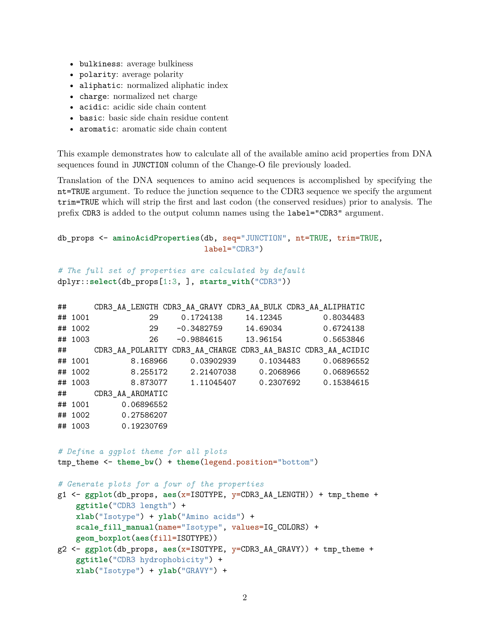- bulkiness: average bulkiness
- polarity: average polarity
- aliphatic: normalized aliphatic index
- charge: normalized net charge
- acidic: acidic side chain content
- basic: basic side chain residue content
- aromatic: aromatic side chain content

This example demonstrates how to calculate all of the available amino acid properties from DNA sequences found in JUNCTION column of the Change-O file previously loaded.

Translation of the DNA sequences to amino acid sequences is accomplished by specifying the nt=TRUE argument. To reduce the junction sequence to the CDR3 sequence we specify the argument trim=TRUE which will strip the first and last codon (the conserved residues) prior to analysis. The prefix CDR3 is added to the output column names using the label="CDR3" argument.

```
db_props <- aminoAcidProperties(db, seq="JUNCTION", nt=TRUE, trim=TRUE,
                                label="CDR3")
```

```
# The full set of properties are calculated by default
dplyr::select(db_props[1:3, ], starts_with("CDR3"))
```

|                                                                                                                                                                                                                                                      | $\#$ #                            |                                               |              |  | CDR3_AA_LENGTH CDR3_AA_GRAVY CDR3_AA_BULK CDR3_AA_ALIPHATIC               |  |  |  |
|------------------------------------------------------------------------------------------------------------------------------------------------------------------------------------------------------------------------------------------------------|-----------------------------------|-----------------------------------------------|--------------|--|---------------------------------------------------------------------------|--|--|--|
|                                                                                                                                                                                                                                                      | ## 1001                           |                                               | 29 0.1724138 |  | 14.12345 0.8034483                                                        |  |  |  |
|                                                                                                                                                                                                                                                      | ## 1002                           |                                               |              |  | 29 -0.3482759 14.69034 0.6724138                                          |  |  |  |
|                                                                                                                                                                                                                                                      | ## 1003                           |                                               |              |  | 26 -0.9884615 13.96154 0.5653846                                          |  |  |  |
|                                                                                                                                                                                                                                                      | $\#$ #                            |                                               |              |  | CDR3 AA POLARITY CDR3 AA CHARGE CDR3 AA BASIC CDR3 AA ACIDIC              |  |  |  |
|                                                                                                                                                                                                                                                      |                                   |                                               |              |  | ## 1001 8.168966 0.03902939 0.1034483 0.06896552                          |  |  |  |
|                                                                                                                                                                                                                                                      |                                   |                                               |              |  | ## 1002 8.255172 2.21407038 0.2068966 0.06896552                          |  |  |  |
|                                                                                                                                                                                                                                                      |                                   |                                               |              |  | ## 1003 8.873077 1.11045407 0.2307692 0.15384615                          |  |  |  |
|                                                                                                                                                                                                                                                      |                                   | ## CDR3_AA_AROMATIC                           |              |  |                                                                           |  |  |  |
|                                                                                                                                                                                                                                                      |                                   | ## 1001 0.06896552                            |              |  |                                                                           |  |  |  |
|                                                                                                                                                                                                                                                      |                                   | ## 1002 0.27586207                            |              |  |                                                                           |  |  |  |
|                                                                                                                                                                                                                                                      |                                   | ## 1003 0.19230769                            |              |  |                                                                           |  |  |  |
| # Define a ggplot theme for all plots<br>$tmp_{\text{theme}} < - \text{them}(\text{bw}) + \text{them}(\text{legend.position} = "bottom")$                                                                                                            |                                   |                                               |              |  |                                                                           |  |  |  |
|                                                                                                                                                                                                                                                      |                                   | # Generate plots for a four of the properties |              |  |                                                                           |  |  |  |
| $g1 \leftarrow ggplot(db\_props, aes(x=ISOTYPE, y=CDR3_AA_LENGTH)) + tmp_theme +$<br>ggtitle("CDR3 length") +<br>xlab("Isotype") + ylab("Amino acids") +<br>scale_fill_manual(name="Isotype", values=IG_COLORS) +<br>geom_boxplot(aes(fill=ISOTYPE)) |                                   |                                               |              |  |                                                                           |  |  |  |
|                                                                                                                                                                                                                                                      |                                   |                                               |              |  | $g2 \leq$ ggplot(db_props, aes(x=ISOTYPE, y=CDR3_AA_GRAVY)) + tmp_theme + |  |  |  |
|                                                                                                                                                                                                                                                      | ggtitle("CDR3 hydrophobicity") +  |                                               |              |  |                                                                           |  |  |  |
|                                                                                                                                                                                                                                                      | xlab("Isotype") + ylab("GRAVY") + |                                               |              |  |                                                                           |  |  |  |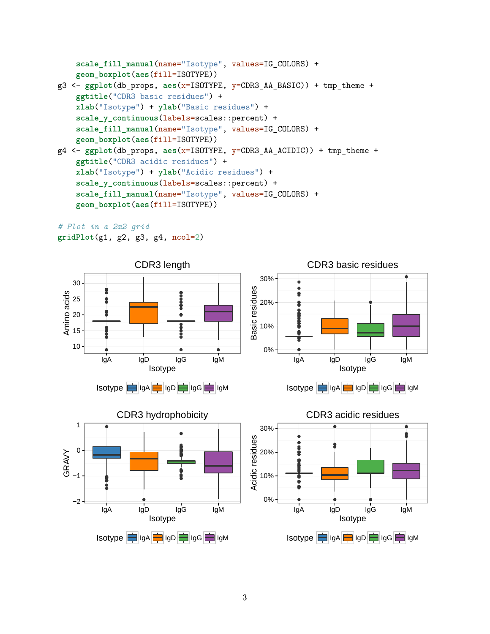```
scale_fill_manual(name="Isotype", values=IG_COLORS) +
   geom_boxplot(aes(fill=ISOTYPE))
g3 <- ggplot(db_props, aes(x=ISOTYPE, y=CDR3_AA_BASIC)) + tmp_theme +
    ggtitle("CDR3 basic residues") +
   xlab("Isotype") + ylab("Basic residues") +
    scale y continuous(labels=scales::percent) +
    scale fill manual(name="Isotype", values=IG COLORS) +
    geom_boxplot(aes(fill=ISOTYPE))
g4 <- ggplot(db_props, aes(x=ISOTYPE, y=CDR3_AA_ACIDIC)) + tmp_theme +
   ggtitle("CDR3 acidic residues") +
   xlab("Isotype") + ylab("Acidic residues") +
    scale y continuous(labels=scales::percent) +
    scale_fill_manual(name="Isotype", values=IG_COLORS) +
   geom_boxplot(aes(fill=ISOTYPE))
```
*# Plot in a 2x2 grid* **gridPlot**(g1, g2, g3, g4, ncol=2)

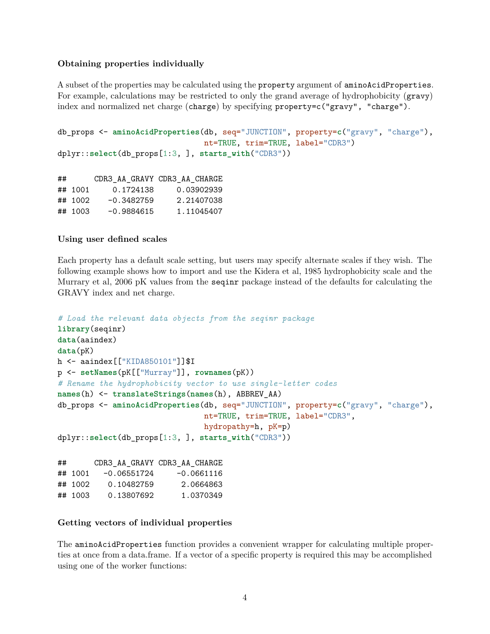### **Obtaining properties individually**

A subset of the properties may be calculated using the property argument of aminoAcidProperties. For example, calculations may be restricted to only the grand average of hydrophobicity (gravy) index and normalized net charge (charge) by specifying property=c("gravy", "charge").

```
db_props <- aminoAcidProperties(db, seq="JUNCTION", property=c("gravy", "charge"),
                                nt=TRUE, trim=TRUE, label="CDR3")
dplyr::select(db_props[1:3, ], starts_with("CDR3"))
```

| ## |         |              | CDR3 AA GRAVY CDR3 AA CHARGE |
|----|---------|--------------|------------------------------|
|    | ## 1001 | 0.1724138    | 0.03902939                   |
|    | ## 1002 | $-0.3482759$ | 2.21407038                   |
|    | ## 1003 | $-0.9884615$ | 1.11045407                   |

#### **Using user defined scales**

Each property has a default scale setting, but users may specify alternate scales if they wish. The following example shows how to import and use the Kidera et al, 1985 hydrophobicity scale and the Murrary et al, 2006 pK values from the seqinr package instead of the defaults for calculating the GRAVY index and net charge.

```
# Load the relevant data objects from the seqinr package
library(seqinr)
data(aaindex)
data(pK)
h <- aaindex[["KIDA850101"]]$I
p <- setNames(pK[["Murray"]], rownames(pK))
# Rename the hydrophobicity vector to use single-letter codes
names(h) <- translateStrings(names(h), ABBREV_AA)
db_props <- aminoAcidProperties(db, seq="JUNCTION", property=c("gravy", "charge"),
                               nt=TRUE, trim=TRUE, label="CDR3",
                               hydropathy=h, pK=p)
dplyr::select(db_props[1:3, ], starts_with("CDR3"))
## CDR3_AA_GRAVY CDR3_AA_CHARGE
\## 1001 -0.06551724 -0.0661116
## 1002 0.10482759 2.0664863
```
#### **Getting vectors of individual properties**

## 1003 0.13807692 1.0370349

The aminoAcidProperties function provides a convenient wrapper for calculating multiple properties at once from a data.frame. If a vector of a specific property is required this may be accomplished using one of the worker functions: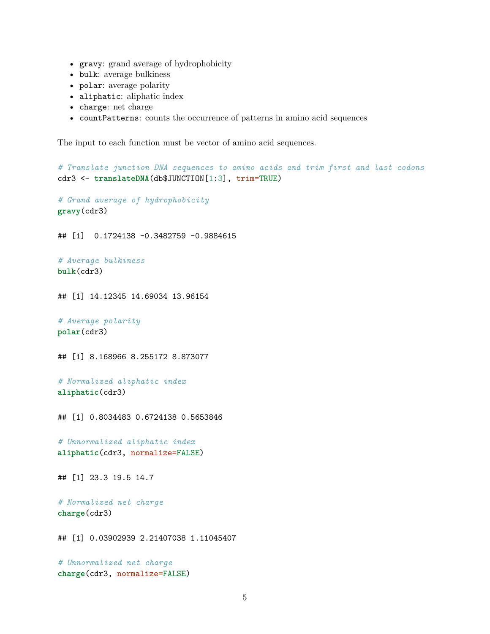- gravy: grand average of hydrophobicity
- bulk: average bulkiness
- polar: average polarity
- aliphatic: aliphatic index
- charge: net charge
- countPatterns: counts the occurrence of patterns in amino acid sequences

The input to each function must be vector of amino acid sequences.

*# Translate junction DNA sequences to amino acids and trim first and last codons* cdr3 <- **translateDNA**(db\$JUNCTION[1:3], trim=TRUE)

*# Grand average of hydrophobicity* **gravy**(cdr3)

## [1] 0.1724138 -0.3482759 -0.9884615

```
# Average bulkiness
bulk(cdr3)
```
## [1] 14.12345 14.69034 13.96154

```
# Average polarity
polar(cdr3)
```
## [1] 8.168966 8.255172 8.873077

```
# Normalized aliphatic index
aliphatic(cdr3)
```
## [1] 0.8034483 0.6724138 0.5653846

*# Unnormalized aliphatic index* **aliphatic**(cdr3, normalize=FALSE)

## [1] 23.3 19.5 14.7

*# Normalized net charge* **charge**(cdr3)

## [1] 0.03902939 2.21407038 1.11045407

*# Unnormalized net charge* **charge**(cdr3, normalize=FALSE)